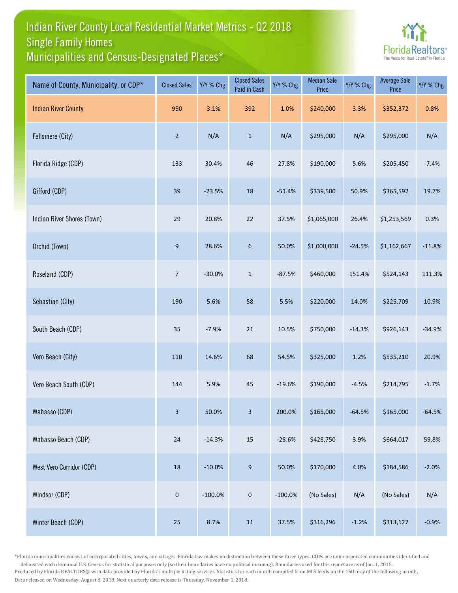## Indian River County Local Residential Market Metrics - Q2 2018 Municipalities and Census-Designated Places\* Single Family Homes



| Name of County, Municipality, or CDP* | <b>Closed Sales</b> | Y/Y % Chg. | <b>Closed Sales</b><br>Paid in Cash | Y/Y % Chg. | <b>Median Sale</b><br>Price | Y/Y % Chg. | <b>Average Sale</b><br>Price | Y/Y % Chg. |
|---------------------------------------|---------------------|------------|-------------------------------------|------------|-----------------------------|------------|------------------------------|------------|
| <b>Indian River County</b>            | 990                 | 3.1%       | 392                                 | $-1.0%$    | \$240,000                   | 3.3%       | \$352,372                    | 0.8%       |
| Fellsmere (City)                      | $\overline{2}$      | N/A        | $\mathbf 1$                         | N/A        | \$295,000                   | N/A        | \$295,000                    | N/A        |
| Florida Ridge (CDP)                   | 133                 | 30.4%      | 46                                  | 27.8%      | \$190,000                   | 5.6%       | \$205,450                    | $-7.4%$    |
| Gifford (CDP)                         | 39                  | $-23.5%$   | 18                                  | $-51.4%$   | \$339,500                   | 50.9%      | \$365,592                    | 19.7%      |
| Indian River Shores (Town)            | 29                  | 20.8%      | $22\,$                              | 37.5%      | \$1,065,000                 | 26.4%      | \$1,253,569                  | 0.3%       |
| Orchid (Town)                         | $9\,$               | 28.6%      | $\boldsymbol{6}$                    | 50.0%      | \$1,000,000                 | $-24.5%$   | \$1,162,667                  | $-11.8%$   |
| Roseland (CDP)                        | $\overline{7}$      | $-30.0%$   | $\mathbf{1}$                        | $-87.5%$   | \$460,000                   | 151.4%     | \$524,143                    | 111.3%     |
| Sebastian (City)                      | 190                 | 5.6%       | 58                                  | 5.5%       | \$220,000                   | 14.0%      | \$225,709                    | 10.9%      |
| South Beach (CDP)                     | 35                  | $-7.9%$    | 21                                  | 10.5%      | \$750,000                   | $-14.3%$   | \$926,143                    | $-34.9%$   |
| Vero Beach (City)                     | 110                 | 14.6%      | 68                                  | 54.5%      | \$325,000                   | 1.2%       | \$535,210                    | 20.9%      |
| Vero Beach South (CDP)                | 144                 | 5.9%       | 45                                  | $-19.6%$   | \$190,000                   | $-4.5%$    | \$214,795                    | $-1.7%$    |
| Wabasso (CDP)                         | 3                   | 50.0%      | 3 <sup>7</sup>                      | 200.0%     | \$165,000                   | $-64.5%$   | \$165,000                    | $-64.5%$   |
| Wabasso Beach (CDP)                   | $24\,$              | $-14.3%$   | $15\,$                              | $-28.6%$   | \$428,750                   | 3.9%       | \$664,017                    | 59.8%      |
| West Vero Corridor (CDP)              | $18\,$              | $-10.0%$   | $\boldsymbol{9}$                    | 50.0%      | \$170,000                   | 4.0%       | \$184,586                    | $-2.0%$    |
| Windsor (CDP)                         | $\mathbf 0$         | $-100.0\%$ | $\mathbf 0$                         | $-100.0\%$ | (No Sales)                  | N/A        | (No Sales)                   | N/A        |
| Winter Beach (CDP)                    | $25\,$              | 8.7%       | 11                                  | 37.5%      | \$316,296                   | $-1.2%$    | \$313,127                    | $-0.9%$    |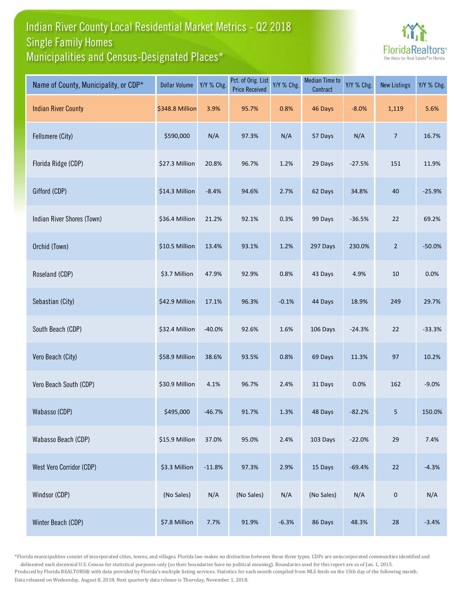## Indian River County Local Residential Market Metrics - Q2 2018 Municipalities and Census-Designated Places\* Single Family Homes



| Name of County, Municipality, or CDP* | <b>Dollar Volume</b> | Y/Y % Chg. | Pct. of Orig. List<br><b>Price Received</b> | Y/Y % Chg. | <b>Median Time to</b><br>Contract | Y/Y % Chg. | <b>New Listings</b> | Y/Y % Chg. |
|---------------------------------------|----------------------|------------|---------------------------------------------|------------|-----------------------------------|------------|---------------------|------------|
| <b>Indian River County</b>            | \$348.8 Million      | 3.9%       | 95.7%                                       | 0.8%       | 46 Days                           | $-8.0%$    | 1,119               | 5.6%       |
| Fellsmere (City)                      | \$590,000            | N/A        | 97.3%                                       | N/A        | 57 Days                           | N/A        | 7                   | 16.7%      |
| Florida Ridge (CDP)                   | \$27.3 Million       | 20.8%      | 96.7%                                       | 1.2%       | 29 Days                           | $-27.5%$   | 151                 | 11.9%      |
| Gifford (CDP)                         | \$14.3 Million       | $-8.4%$    | 94.6%                                       | 2.7%       | 62 Days                           | 34.8%      | 40                  | $-25.9%$   |
| Indian River Shores (Town)            | \$36.4 Million       | 21.2%      | 92.1%                                       | 0.3%       | 99 Days                           | $-36.5%$   | 22                  | 69.2%      |
| Orchid (Town)                         | \$10.5 Million       | 13.4%      | 93.1%                                       | 1.2%       | 297 Days                          | 230.0%     | $\overline{2}$      | $-50.0%$   |
| Roseland (CDP)                        | \$3.7 Million        | 47.9%      | 92.9%                                       | 0.8%       | 43 Days                           | 4.9%       | 10                  | 0.0%       |
| Sebastian (City)                      | \$42.9 Million       | 17.1%      | 96.3%                                       | $-0.1%$    | 44 Days                           | 18.9%      | 249                 | 29.7%      |
| South Beach (CDP)                     | \$32.4 Million       | $-40.0%$   | 92.6%                                       | 1.6%       | 106 Days                          | $-24.3%$   | 22                  | $-33.3%$   |
| Vero Beach (City)                     | \$58.9 Million       | 38.6%      | 93.5%                                       | 0.8%       | 69 Days                           | 11.3%      | 97                  | 10.2%      |
| Vero Beach South (CDP)                | \$30.9 Million       | 4.1%       | 96.7%                                       | 2.4%       | 31 Days                           | 0.0%       | 162                 | $-9.0%$    |
| Wabasso (CDP)                         | \$495,000            | $-46.7%$   | 91.7%                                       | 1.3%       | 48 Days                           | $-82.2%$   | 5                   | 150.0%     |
| Wabasso Beach (CDP)                   | \$15.9 Million       | 37.0%      | 95.0%                                       | 2.4%       | 103 Days                          | $-22.0%$   | 29                  | 7.4%       |
| West Vero Corridor (CDP)              | \$3.3 Million        | $-11.8%$   | 97.3%                                       | 2.9%       | 15 Days                           | $-69.4%$   | 22                  | $-4.3%$    |
| Windsor (CDP)                         | (No Sales)           | N/A        | (No Sales)                                  | N/A        | (No Sales)                        | N/A        | $\pmb{0}$           | N/A        |
| Winter Beach (CDP)                    | \$7.8 Million        | 7.7%       | 91.9%                                       | $-6.3%$    | 86 Days                           | 48.3%      | 28                  | $-3.4%$    |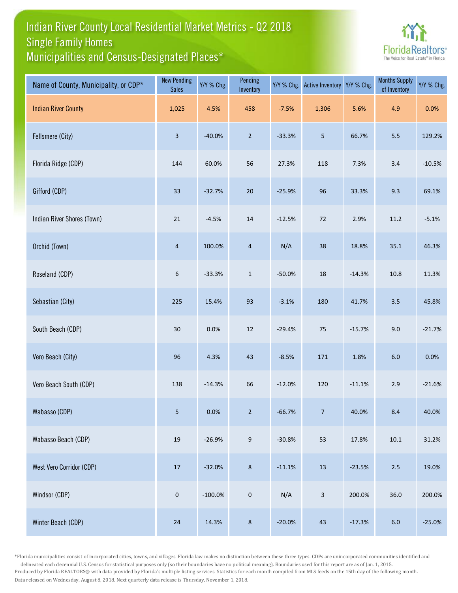## Indian River County Local Residential Market Metrics - Q2 2018 Municipalities and Census-Designated Places\* Single Family Homes



| Name of County, Municipality, or CDP* | <b>New Pending</b><br><b>Sales</b> | Y/Y % Chg. | Pending<br>Inventory | Y/Y % Chg. | <b>Active Inventory</b> | Y/Y % Chg. | <b>Months Supply</b><br>of Inventory | Y/Y % Chg. |
|---------------------------------------|------------------------------------|------------|----------------------|------------|-------------------------|------------|--------------------------------------|------------|
| <b>Indian River County</b>            | 1,025                              | 4.5%       | 458                  | $-7.5%$    | 1,306                   | 5.6%       | 4.9                                  | 0.0%       |
| Fellsmere (City)                      | $\mathbf{3}$                       | $-40.0%$   | $\overline{2}$       | $-33.3%$   | $\overline{5}$          | 66.7%      | $5.5\,$                              | 129.2%     |
| Florida Ridge (CDP)                   | 144                                | 60.0%      | 56                   | 27.3%      | 118                     | 7.3%       | $3.4$                                | $-10.5%$   |
| Gifford (CDP)                         | 33                                 | $-32.7%$   | $20\,$               | $-25.9%$   | 96                      | 33.3%      | 9.3                                  | 69.1%      |
| Indian River Shores (Town)            | 21                                 | $-4.5%$    | 14                   | $-12.5%$   | $72\,$                  | 2.9%       | 11.2                                 | $-5.1%$    |
| Orchid (Town)                         | $\sqrt{4}$                         | 100.0%     | $\overline{4}$       | N/A        | 38                      | 18.8%      | 35.1                                 | 46.3%      |
| Roseland (CDP)                        | $\sqrt{6}$                         | $-33.3%$   | $\mathbf{1}$         | $-50.0%$   | $18\,$                  | $-14.3%$   | 10.8                                 | 11.3%      |
| Sebastian (City)                      | 225                                | 15.4%      | 93                   | $-3.1%$    | 180                     | 41.7%      | 3.5                                  | 45.8%      |
| South Beach (CDP)                     | $30$                               | 0.0%       | 12                   | $-29.4%$   | 75                      | $-15.7%$   | 9.0                                  | $-21.7%$   |
| Vero Beach (City)                     | 96                                 | 4.3%       | 43                   | $-8.5%$    | 171                     | 1.8%       | $6.0\,$                              | 0.0%       |
| Vero Beach South (CDP)                | 138                                | $-14.3%$   | 66                   | $-12.0%$   | 120                     | $-11.1%$   | 2.9                                  | $-21.6%$   |
| Wabasso (CDP)                         | 5 <sub>1</sub>                     | 0.0%       | $2^{\circ}$          | $-66.7%$   | 7 <sup>7</sup>          | 40.0%      | 8.4                                  | 40.0%      |
| Wabasso Beach (CDP)                   | $19\,$                             | $-26.9%$   | $9\,$                | $-30.8%$   | 53                      | 17.8%      | $10.1\,$                             | 31.2%      |
| West Vero Corridor (CDP)              | 17                                 | $-32.0%$   | $\bf 8$              | $-11.1%$   | $13\,$                  | $-23.5%$   | $2.5$                                | 19.0%      |
| Windsor (CDP)                         | $\pmb{0}$                          | $-100.0%$  | $\mathbf 0$          | N/A        | $\mathbf{3}$            | 200.0%     | 36.0                                 | 200.0%     |
| Winter Beach (CDP)                    | 24                                 | 14.3%      | $\bf 8$              | $-20.0%$   | 43                      | $-17.3%$   | $6.0\,$                              | $-25.0%$   |